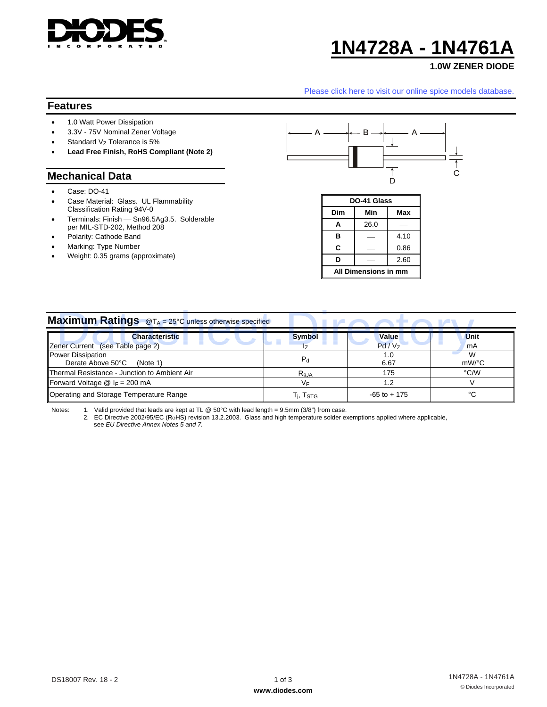

# **1N4728A - 1N4761A**

## **1.0W ZENER DIODE**

## **Features**

- 1.0 Watt Power Dissipation
- 3.3V 75V Nominal Zener Voltage
- Standard  $V_Z$  Tolerance is 5%
- **Lead Free Finish, RoHS Compliant (Note 2)**

#### **Mechanical Data**

- Case: DO-41
- Case Material: Glass. UL Flammability Classification Rating 94V-0
- Terminals: Finish Sn96.5Ag3.5. Solderable per MIL-STD-202, Method 208
- Polarity: Cathode Band
- Marking: Type Number
- Weight: 0.35 grams (approximate)



| DO-41 Glass          |      |      |  |  |
|----------------------|------|------|--|--|
| Dim                  | Min  | Max  |  |  |
| A                    | 26.0 |      |  |  |
| в                    |      | 4.10 |  |  |
| C                    |      | 0.86 |  |  |
| D                    |      | 2.60 |  |  |
| All Dimensions in mm |      |      |  |  |

|                                                                                                                                                                                                                                                                                        |                      | Please click here to visit our online spice models database.                                                          |                                            |
|----------------------------------------------------------------------------------------------------------------------------------------------------------------------------------------------------------------------------------------------------------------------------------------|----------------------|-----------------------------------------------------------------------------------------------------------------------|--------------------------------------------|
| <b>Features</b>                                                                                                                                                                                                                                                                        |                      |                                                                                                                       |                                            |
| 1.0 Watt Power Dissipation<br>$\bullet$<br>3.3V - 75V Nominal Zener Voltage<br>$\bullet$<br>Standard Vz Tolerance is 5%<br>Lead Free Finish, RoHS Compliant (Note 2)<br>$\bullet$                                                                                                      |                      | B                                                                                                                     |                                            |
| <b>Mechanical Data</b>                                                                                                                                                                                                                                                                 |                      |                                                                                                                       | С                                          |
| Case: DO-41<br>Case Material: Glass. UL Flammability<br>Classification Rating 94V-0<br>Terminals: Finish - Sn96.5Ag3.5. Solderable<br>$\bullet$<br>per MIL-STD-202, Method 208<br>Polarity: Cathode Band<br>٠<br>Marking: Type Number<br>$\bullet$<br>Weight: 0.35 grams (approximate) | Dim<br>C<br>D        | D<br>DO-41 Glass<br>Min<br>Max<br>26.0<br>Α<br>в<br>4.10<br>0.86<br>2.60<br>All Dimensions in mm                      |                                            |
| <b>Maximum Ratings</b> @T <sub>A</sub> = 25°C unless otherwise specified                                                                                                                                                                                                               |                      | <b>The Contract of the Contract of the Contract of the Contract of the Contract of the Contract of the Contract o</b> | <b>LAN</b><br>D                            |
| <b>Characteristic</b>                                                                                                                                                                                                                                                                  | <b>Symbol</b>        | Value                                                                                                                 | Unit                                       |
| Zener Current (see Table page 2)                                                                                                                                                                                                                                                       | $I_{Z}$              | Pd/Vz                                                                                                                 | mA<br>W                                    |
| <b>Power Dissipation</b><br>Derate Above 50°C<br>(Note 1)                                                                                                                                                                                                                              | $\mathsf{P}_{\sf d}$ | 1.0<br>6.67                                                                                                           | mW/°C                                      |
| Thermal Resistance - Junction to Ambient Air                                                                                                                                                                                                                                           | $R_{\theta}$ JA      | 175                                                                                                                   | °C/W                                       |
| Forward Voltage $@$ I <sub>F</sub> = 200 mA                                                                                                                                                                                                                                            | $V_F$                | 1.2                                                                                                                   | V                                          |
| Operating and Storage Temperature Range                                                                                                                                                                                                                                                | $T_j$ , $T_{STG}$    | $-65$ to $+175$                                                                                                       | $^{\circ}{\rm C}$                          |
| 1. Valid provided that leads are kept at TL @ 50°C with lead length = 9.5mm (3/8") from case.<br>Notes:<br>2. EC Directive 2002/95/EC (RoHS) revision 13.2.2003. Glass and high temperature solder exemptions applied where applicable,<br>see EU Directive Annex Notes 5 and 7.       |                      |                                                                                                                       |                                            |
| DS18007 Rev. 18 - 2                                                                                                                                                                                                                                                                    | $1$ of $3$           |                                                                                                                       | 1N4728A - 1N4761A<br>© Diodes Incorporated |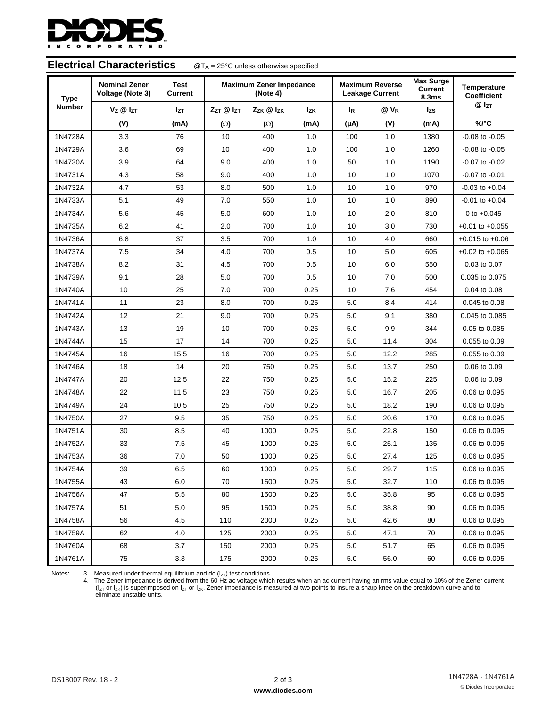

| <b>Electrical Characteristics</b><br>$\mathcal{Q}T_A$ = 25°C unless otherwise specified |                      |                               |                                            |            |                                                  |           |                                             |                            |                     |
|-----------------------------------------------------------------------------------------|----------------------|-------------------------------|--------------------------------------------|------------|--------------------------------------------------|-----------|---------------------------------------------|----------------------------|---------------------|
| <b>Nominal Zener</b><br>Voltage (Note 3)<br><b>Type</b>                                 |                      | <b>Test</b><br><b>Current</b> | <b>Maximum Zener Impedance</b><br>(Note 4) |            | <b>Maximum Reverse</b><br><b>Leakage Current</b> |           | <b>Max Surge</b><br><b>Current</b><br>8.3ms | Temperature<br>Coefficient |                     |
| <b>Number</b>                                                                           | $V_Z \otimes I_{ZT}$ | <b>Izt</b>                    | ZzT @ IzT                                  | Zzk @ Izk  | <b>Izk</b>                                       | <b>IR</b> | $@V_R$                                      | Izs                        | $@I_{ZT}$           |
|                                                                                         | (V)                  | (mA)                          | $(\Omega)$                                 | $(\Omega)$ | (mA)                                             | (µA)      | (V)                                         | (mA)                       | %/°C                |
| 1N4728A                                                                                 | 3.3                  | 76                            | 10                                         | 400        | 1.0                                              | 100       | 1.0                                         | 1380                       | $-0.08$ to $-0.05$  |
| 1N4729A                                                                                 | 3.6                  | 69                            | 10                                         | 400        | 1.0                                              | 100       | 1.0                                         | 1260                       | $-0.08$ to $-0.05$  |
| 1N4730A                                                                                 | 3.9                  | 64                            | 9.0                                        | 400        | 1.0                                              | 50        | 1.0                                         | 1190                       | $-0.07$ to $-0.02$  |
| 1N4731A                                                                                 | 4.3                  | 58                            | 9.0                                        | 400        | 1.0                                              | 10        | 1.0                                         | 1070                       | $-0.07$ to $-0.01$  |
| 1N4732A                                                                                 | 4.7                  | 53                            | 8.0                                        | 500        | 1.0                                              | 10        | 1.0                                         | 970                        | $-0.03$ to $+0.04$  |
| 1N4733A                                                                                 | 5.1                  | 49                            | 7.0                                        | 550        | 1.0                                              | 10        | 1.0                                         | 890                        | $-0.01$ to $+0.04$  |
| 1N4734A                                                                                 | 5.6                  | 45                            | 5.0                                        | 600        | 1.0                                              | 10        | 2.0                                         | 810                        | 0 to $+0.045$       |
| 1N4735A                                                                                 | 6.2                  | 41                            | 2.0                                        | 700        | 1.0                                              | 10        | 3.0                                         | 730                        | $+0.01$ to $+0.055$ |
| 1N4736A                                                                                 | 6.8                  | 37                            | 3.5                                        | 700        | 1.0                                              | 10        | 4.0                                         | 660                        | $+0.015$ to $+0.06$ |
| 1N4737A                                                                                 | 7.5                  | 34                            | 4.0                                        | 700        | 0.5                                              | 10        | 5.0                                         | 605                        | $+0.02$ to $+0.065$ |
| 1N4738A                                                                                 | 8.2                  | 31                            | 4.5                                        | 700        | 0.5                                              | 10        | 6.0                                         | 550                        | 0.03 to 0.07        |
| 1N4739A                                                                                 | 9.1                  | 28                            | 5.0                                        | 700        | 0.5                                              | 10        | 7.0                                         | 500                        | 0.035 to 0.075      |
| 1N4740A                                                                                 | 10                   | 25                            | 7.0                                        | 700        | 0.25                                             | 10        | 7.6                                         | 454                        | 0.04 to 0.08        |
| 1N4741A                                                                                 | 11                   | 23                            | 8.0                                        | 700        | 0.25                                             | 5.0       | 8.4                                         | 414                        | 0.045 to 0.08       |
| 1N4742A                                                                                 | 12                   | 21                            | 9.0                                        | 700        | 0.25                                             | 5.0       | 9.1                                         | 380                        | 0.045 to 0.085      |
| 1N4743A                                                                                 | 13                   | 19                            | 10                                         | 700        | 0.25                                             | 5.0       | 9.9                                         | 344                        | 0.05 to 0.085       |
| 1N4744A                                                                                 | 15                   | 17                            | 14                                         | 700        | 0.25                                             | 5.0       | 11.4                                        | 304                        | 0.055 to 0.09       |
| 1N4745A                                                                                 | 16                   | 15.5                          | 16                                         | 700        | 0.25                                             | 5.0       | 12.2                                        | 285                        | 0.055 to 0.09       |
| 1N4746A                                                                                 | 18                   | 14                            | 20                                         | 750        | 0.25                                             | 5.0       | 13.7                                        | 250                        | 0.06 to 0.09        |
| 1N4747A                                                                                 | 20                   | 12.5                          | 22                                         | 750        | 0.25                                             | 5.0       | 15.2                                        | 225                        | 0.06 to 0.09        |
| 1N4748A                                                                                 | 22                   | 11.5                          | 23                                         | 750        | 0.25                                             | 5.0       | 16.7                                        | 205                        | 0.06 to 0.095       |
| 1N4749A                                                                                 | 24                   | 10.5                          | 25                                         | 750        | 0.25                                             | 5.0       | 18.2                                        | 190                        | 0.06 to 0.095       |
| 1N4750A                                                                                 | 27                   | 9.5                           | 35                                         | 750        | 0.25                                             | 5.0       | 20.6                                        | 170                        | 0.06 to 0.095       |
| 1N4751A                                                                                 | 30                   | 8.5                           | 40                                         | 1000       | 0.25                                             | 5.0       | 22.8                                        | 150                        | 0.06 to 0.095       |
| 1N4752A                                                                                 | 33                   | 7.5                           | 45                                         | 1000       | 0.25                                             | 5.0       | 25.1                                        | 135                        | 0.06 to 0.095       |
| 1N4753A                                                                                 | 36                   | 7.0                           | 50                                         | 1000       | 0.25                                             | 5.0       | 27.4                                        | 125                        | 0.06 to 0.095       |
| 1N4754A                                                                                 | 39                   | 6.5                           | 60                                         | 1000       | 0.25                                             | 5.0       | 29.7                                        | 115                        | 0.06 to 0.095       |
| 1N4755A                                                                                 | 43                   | 6.0                           | 70                                         | 1500       | 0.25                                             | 5.0       | 32.7                                        | 110                        | 0.06 to 0.095       |
| 1N4756A                                                                                 | 47                   | 5.5                           | 80                                         | 1500       | 0.25                                             | 5.0       | 35.8                                        | 95                         | 0.06 to 0.095       |
| 1N4757A                                                                                 | 51                   | 5.0                           | 95                                         | 1500       | 0.25                                             | 5.0       | 38.8                                        | 90                         | 0.06 to 0.095       |
| 1N4758A                                                                                 | 56                   | 4.5                           | 110                                        | 2000       | 0.25                                             | 5.0       | 42.6                                        | 80                         | 0.06 to 0.095       |
| 1N4759A                                                                                 | 62                   | 4.0                           | 125                                        | 2000       | 0.25                                             | 5.0       | 47.1                                        | 70                         | 0.06 to 0.095       |
| 1N4760A                                                                                 | 68                   | 3.7                           | 150                                        | 2000       | 0.25                                             | 5.0       | 51.7                                        | 65                         | 0.06 to 0.095       |
| 1N4761A                                                                                 | 75                   | 3.3                           | 175                                        | 2000       | 0.25                                             | 5.0       | 56.0                                        | 60                         | 0.06 to 0.095       |

Notes: 3. Measured under thermal equilibrium and dc (I<sub>ZT</sub>) test conditions.<br>4. The Zener impedance is derived from the 60 Hz ac voltage which results when an ac current having an rms value equal to 10% of the Zener curre (I<sub>ZT</sub> or I<sub>zK</sub>) is superimposed on I<sub>ZT</sub> or I<sub>zK</sub>. Zener impedance is measured at two points to insure a sharp knee on the breakdown curve and to<br>eliminate unstable units.